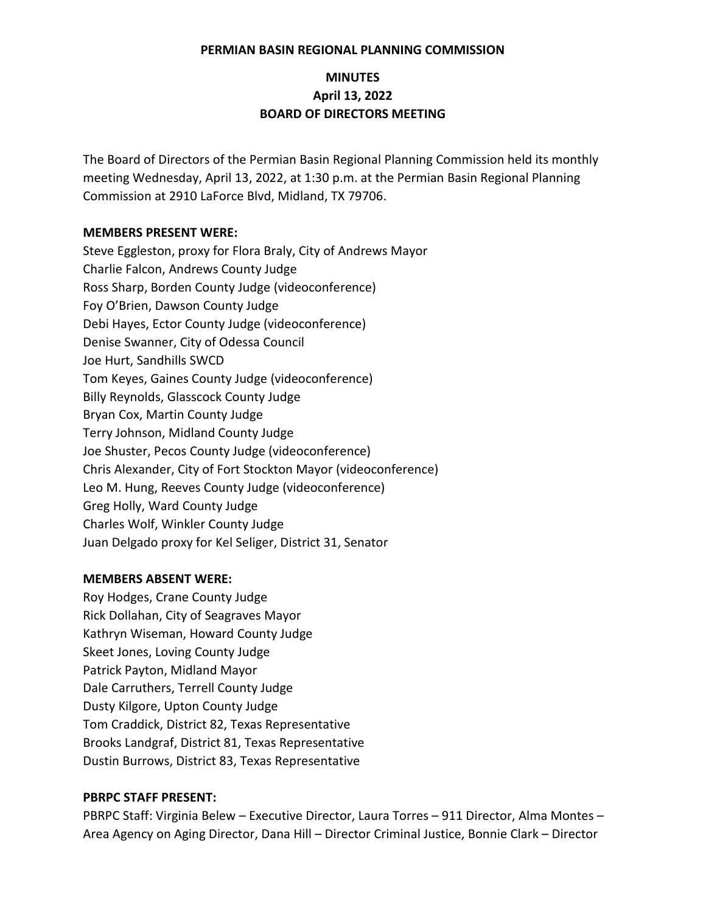#### **PERMIAN BASIN REGIONAL PLANNING COMMISSION**

# **MINUTES April 13, 2022 BOARD OF DIRECTORS MEETING**

The Board of Directors of the Permian Basin Regional Planning Commission held its monthly meeting Wednesday, April 13, 2022, at 1:30 p.m. at the Permian Basin Regional Planning Commission at 2910 LaForce Blvd, Midland, TX 79706.

#### **MEMBERS PRESENT WERE:**

Steve Eggleston, proxy for Flora Braly, City of Andrews Mayor Charlie Falcon, Andrews County Judge Ross Sharp, Borden County Judge (videoconference) Foy O'Brien, Dawson County Judge Debi Hayes, Ector County Judge (videoconference) Denise Swanner, City of Odessa Council Joe Hurt, Sandhills SWCD Tom Keyes, Gaines County Judge (videoconference) Billy Reynolds, Glasscock County Judge Bryan Cox, Martin County Judge Terry Johnson, Midland County Judge Joe Shuster, Pecos County Judge (videoconference) Chris Alexander, City of Fort Stockton Mayor (videoconference) Leo M. Hung, Reeves County Judge (videoconference) Greg Holly, Ward County Judge Charles Wolf, Winkler County Judge Juan Delgado proxy for Kel Seliger, District 31, Senator

### **MEMBERS ABSENT WERE:**

Roy Hodges, Crane County Judge Rick Dollahan, City of Seagraves Mayor Kathryn Wiseman, Howard County Judge Skeet Jones, Loving County Judge Patrick Payton, Midland Mayor Dale Carruthers, Terrell County Judge Dusty Kilgore, Upton County Judge Tom Craddick, District 82, Texas Representative Brooks Landgraf, District 81, Texas Representative Dustin Burrows, District 83, Texas Representative

#### **PBRPC STAFF PRESENT:**

PBRPC Staff: Virginia Belew – Executive Director, Laura Torres – 911 Director, Alma Montes – Area Agency on Aging Director, Dana Hill – Director Criminal Justice, Bonnie Clark – Director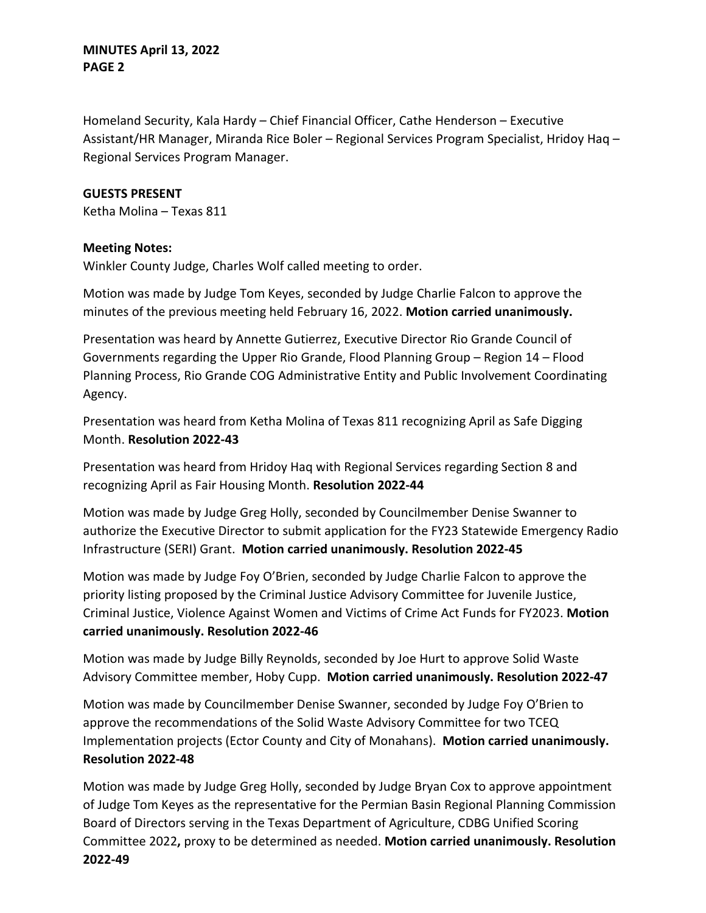# **MINUTES April 13, 2022 PAGE 2**

Homeland Security, Kala Hardy – Chief Financial Officer, Cathe Henderson – Executive Assistant/HR Manager, Miranda Rice Boler – Regional Services Program Specialist, Hridoy Haq – Regional Services Program Manager.

### **GUESTS PRESENT**

Ketha Molina – Texas 811

#### **Meeting Notes:**

Winkler County Judge, Charles Wolf called meeting to order.

Motion was made by Judge Tom Keyes, seconded by Judge Charlie Falcon to approve the minutes of the previous meeting held February 16, 2022. **Motion carried unanimously.**

Presentation was heard by Annette Gutierrez, Executive Director Rio Grande Council of Governments regarding the Upper Rio Grande, Flood Planning Group – Region 14 – Flood Planning Process, Rio Grande COG Administrative Entity and Public Involvement Coordinating Agency.

Presentation was heard from Ketha Molina of Texas 811 recognizing April as Safe Digging Month. **Resolution 2022-43**

Presentation was heard from Hridoy Haq with Regional Services regarding Section 8 and recognizing April as Fair Housing Month. **Resolution 2022-44**

Motion was made by Judge Greg Holly, seconded by Councilmember Denise Swanner to authorize the Executive Director to submit application for the FY23 Statewide Emergency Radio Infrastructure (SERI) Grant. **Motion carried unanimously. Resolution 2022-45**

Motion was made by Judge Foy O'Brien, seconded by Judge Charlie Falcon to approve the priority listing proposed by the Criminal Justice Advisory Committee for Juvenile Justice, Criminal Justice, Violence Against Women and Victims of Crime Act Funds for FY2023. **Motion carried unanimously. Resolution 2022-46**

Motion was made by Judge Billy Reynolds, seconded by Joe Hurt to approve Solid Waste Advisory Committee member, Hoby Cupp. **Motion carried unanimously. Resolution 2022-47**

Motion was made by Councilmember Denise Swanner, seconded by Judge Foy O'Brien to approve the recommendations of the Solid Waste Advisory Committee for two TCEQ Implementation projects (Ector County and City of Monahans). **Motion carried unanimously. Resolution 2022-48**

Motion was made by Judge Greg Holly, seconded by Judge Bryan Cox to approve appointment of Judge Tom Keyes as the representative for the Permian Basin Regional Planning Commission Board of Directors serving in the Texas Department of Agriculture, CDBG Unified Scoring Committee 2022**,** proxy to be determined as needed. **Motion carried unanimously. Resolution 2022-49**